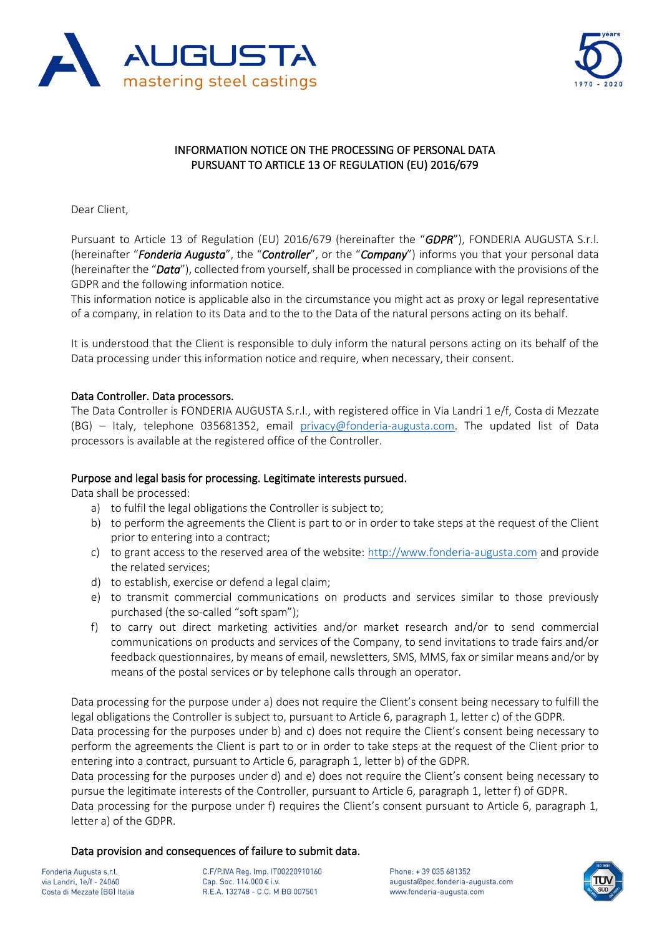



# INFORMATION NOTICE ON THE PROCESSING OF PERSONAL DATA PURSUANT TO ARTICLE 13 OF REGULATION (EU) 2016/679

## Dear Client,

Pursuant to Article 13 of Regulation (EU) 2016/679 (hereinafter the "*GDPR*"), FONDERIA AUGUSTA S.r.l. (hereinafter "*Fonderia Augusta*", the "*Controller*", or the "*Company*") informs you that your personal data (hereinafter the "*Data*"), collected from yourself, shall be processed in compliance with the provisions of the GDPR and the following information notice.

This information notice is applicable also in the circumstance you might act as proxy or legal representative of a company, in relation to its Data and to the to the Data of the natural persons acting on its behalf.

It is understood that the Client is responsible to duly inform the natural persons acting on its behalf of the Data processing under this information notice and require, when necessary, their consent.

### Data Controller. Data processors.

The Data Controller is FONDERIA AUGUSTA S.r.l., with registered office in Via Landri 1 e/f, Costa di Mezzate (BG) – Italy, telephone 035681352, email [privacy@fonderia-augusta.com.](mailto:privacy@fonderia-augusta.com) The updated list of Data processors is available at the registered office of the Controller.

# Purpose and legal basis for processing. Legitimate interests pursued.

Data shall be processed:

- a) to fulfil the legal obligations the Controller is subject to;
- b) to perform the agreements the Client is part to or in order to take steps at the request of the Client prior to entering into a contract;
- c) to grant access to the reserved area of the website[: http://www.fonderia-augusta.com](http://www.fonderia-augusta.com/) and provide the related services;
- d) to establish, exercise or defend a legal claim;
- e) to transmit commercial communications on products and services similar to those previously purchased (the so-called "soft spam");
- f) to carry out direct marketing activities and/or market research and/or to send commercial communications on products and services of the Company, to send invitations to trade fairs and/or feedback questionnaires, by means of email, newsletters, SMS, MMS, fax or similar means and/or by means of the postal services or by telephone calls through an operator.

Data processing for the purpose under a) does not require the Client's consent being necessary to fulfill the legal obligations the Controller is subject to, pursuant to Article 6, paragraph 1, letter c) of the GDPR.

Data processing for the purposes under b) and c) does not require the Client's consent being necessary to perform the agreements the Client is part to or in order to take steps at the request of the Client prior to entering into a contract, pursuant to Article 6, paragraph 1, letter b) of the GDPR.

Data processing for the purposes under d) and e) does not require the Client's consent being necessary to pursue the legitimate interests of the Controller, pursuant to Article 6, paragraph 1, letter f) of GDPR.

Data processing for the purpose under f) requires the Client's consent pursuant to Article 6, paragraph 1, letter a) of the GDPR.

### Data provision and consequences of failure to submit data.

Fonderia Augusta s.r.l. via Landri, 1e/f - 24060 Costa di Mezzate (BG) Italia C.F/P.IVA Reg. Imp. IT00220910160 Cap. Soc. 114.000 € i.v. R.E.A. 132748 - C.C. M BG 007501

Phone: +39 035 681352 augusta@pec.fonderia-augusta.com www.fonderia-augusta.com

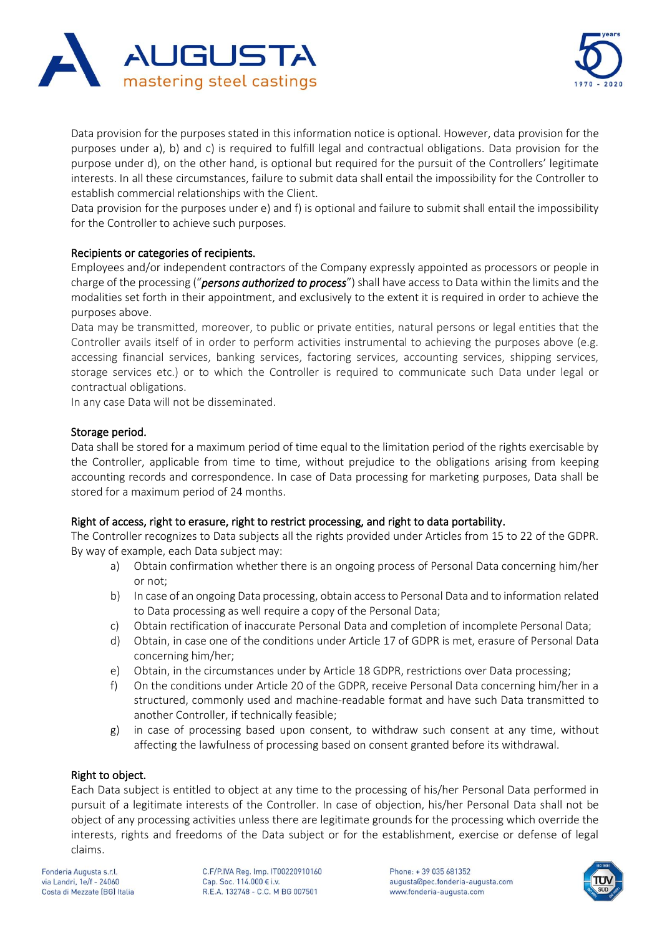



Data provision for the purposes stated in this information notice is optional. However, data provision for the purposes under a), b) and c) is required to fulfill legal and contractual obligations. Data provision for the purpose under d), on the other hand, is optional but required for the pursuit of the Controllers' legitimate interests. In all these circumstances, failure to submit data shall entail the impossibility for the Controller to establish commercial relationships with the Client.

Data provision for the purposes under e) and f) is optional and failure to submit shall entail the impossibility for the Controller to achieve such purposes.

# Recipients or categories of recipients.

Employees and/or independent contractors of the Company expressly appointed as processors or people in charge of the processing ("*persons authorized to process*") shall have access to Data within the limits and the modalities set forth in their appointment, and exclusively to the extent it is required in order to achieve the purposes above.

Data may be transmitted, moreover, to public or private entities, natural persons or legal entities that the Controller avails itself of in order to perform activities instrumental to achieving the purposes above (e.g. accessing financial services, banking services, factoring services, accounting services, shipping services, storage services etc.) or to which the Controller is required to communicate such Data under legal or contractual obligations.

In any case Data will not be disseminated.

### Storage period.

Data shall be stored for a maximum period of time equal to the limitation period of the rights exercisable by the Controller, applicable from time to time, without prejudice to the obligations arising from keeping accounting records and correspondence. In case of Data processing for marketing purposes, Data shall be stored for a maximum period of 24 months.

### Right of access, right to erasure, right to restrict processing, and right to data portability.

The Controller recognizes to Data subjects all the rights provided under Articles from 15 to 22 of the GDPR. By way of example, each Data subject may:

- a) Obtain confirmation whether there is an ongoing process of Personal Data concerning him/her or not;
- b) In case of an ongoing Data processing, obtain access to Personal Data and to information related to Data processing as well require a copy of the Personal Data;
- c) Obtain rectification of inaccurate Personal Data and completion of incomplete Personal Data;
- d) Obtain, in case one of the conditions under Article 17 of GDPR is met, erasure of Personal Data concerning him/her;
- e) Obtain, in the circumstances under by Article 18 GDPR, restrictions over Data processing;
- f) On the conditions under Article 20 of the GDPR, receive Personal Data concerning him/her in a structured, commonly used and machine-readable format and have such Data transmitted to another Controller, if technically feasible;
- g) in case of processing based upon consent, to withdraw such consent at any time, without affecting the lawfulness of processing based on consent granted before its withdrawal.

### Right to object.

Each Data subject is entitled to object at any time to the processing of his/her Personal Data performed in pursuit of a legitimate interests of the Controller. In case of objection, his/her Personal Data shall not be object of any processing activities unless there are legitimate grounds for the processing which override the interests, rights and freedoms of the Data subject or for the establishment, exercise or defense of legal claims.

Fonderia Augusta s.r.l. via Landri, 1e/f - 24060 Costa di Mezzate [BG] Italia C.F/P.IVA Reg. Imp. IT00220910160 Cap. Soc. 114.000 € i.v. R.E.A. 132748 - C.C. M BG 007501

Phone: +39 035 681352 augusta@pec.fonderia-augusta.com www.fonderia-augusta.com